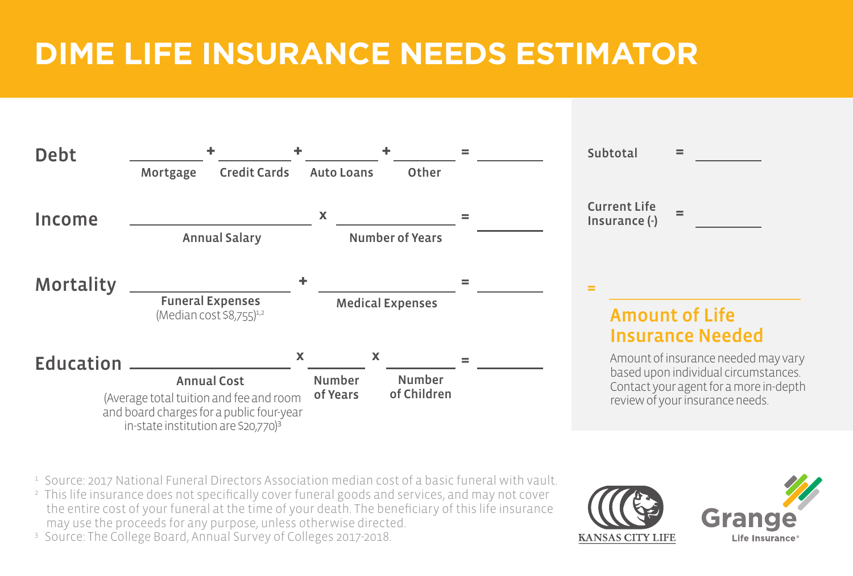## **DIME LIFE INSURANCE NEEDS ESTIMATOR**

| <b>Debt</b>      |                                                                                                                                                              |             |                                |                              |  | Subtotal                             | $=$                                                                                                                                                      |
|------------------|--------------------------------------------------------------------------------------------------------------------------------------------------------------|-------------|--------------------------------|------------------------------|--|--------------------------------------|----------------------------------------------------------------------------------------------------------------------------------------------------------|
|                  | <b>Credit Cards</b><br>Mortgage                                                                                                                              |             | <b>Auto Loans</b>              | Other                        |  |                                      |                                                                                                                                                          |
| Income           | <b>Annual Salary</b>                                                                                                                                         |             | X                              | <b>Number of Years</b>       |  | <b>Current Life</b><br>Insurance (-) | $=$                                                                                                                                                      |
| <b>Mortality</b> | <b>Funeral Expenses</b><br>(Median cost \$8,755) <sup>1,2</sup>                                                                                              | ٠           |                                | <b>Medical Expenses</b>      |  | $=$                                  | <b>Amount of Life</b><br><b>Insurance Needed</b>                                                                                                         |
| Education        | <b>Annual Cost</b><br>(Average total tuition and fee and room<br>and board charges for a public four-year<br>in-state institution are \$20,770) <sup>3</sup> | $\mathbf x$ | X<br><b>Number</b><br>of Years | <b>Number</b><br>of Children |  |                                      | Amount of insurance needed may vary<br>based upon individual circumstances.<br>Contact your agent for a more in-depth<br>review of your insurance needs. |

- 1 Source: 2017 National Funeral Directors Association median cost of a basic funeral with vault.
- <sup>2</sup> This life insurance does not specifically cover funeral goods and services, and may not cover the entire cost of your funeral at the time of your death. The beneficiary of this life insurance may use the proceeds for any purpose, unless otherwise directed.



<sup>3</sup> Source: The College Board, Annual Survey of Colleges 2017-2018.